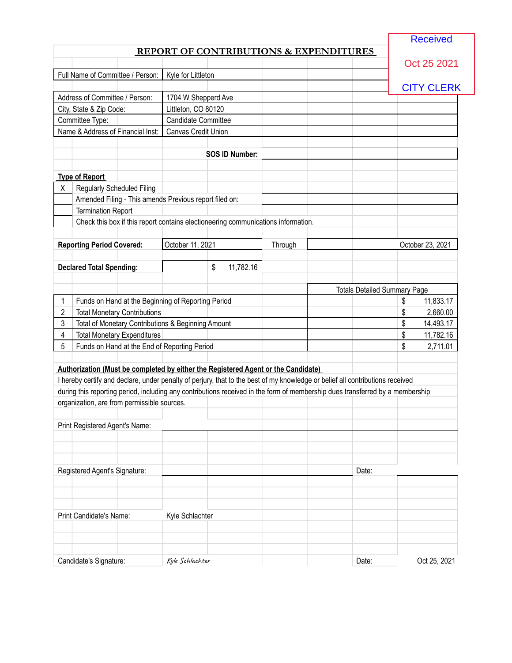**Received** 

## **REPORT OF CONTRIBUTIONS & EXPENDITURES**

|   |                                                                                                                               |                            |                       |         |                                     | Oct 25 2021       |
|---|-------------------------------------------------------------------------------------------------------------------------------|----------------------------|-----------------------|---------|-------------------------------------|-------------------|
|   | Full Name of Committee / Person:                                                                                              | Kyle for Littleton         |                       |         |                                     |                   |
|   |                                                                                                                               |                            |                       |         |                                     | <b>CITY CLERK</b> |
|   | Address of Committee / Person:                                                                                                | 1704 W Shepperd Ave        |                       |         |                                     |                   |
|   | City, State & Zip Code:                                                                                                       | Littleton, CO 80120        |                       |         |                                     |                   |
|   | Committee Type:                                                                                                               | <b>Candidate Committee</b> |                       |         |                                     |                   |
|   | Name & Address of Financial Inst:                                                                                             | Canvas Credit Union        |                       |         |                                     |                   |
|   |                                                                                                                               |                            |                       |         |                                     |                   |
|   |                                                                                                                               |                            | <b>SOS ID Number:</b> |         |                                     |                   |
|   |                                                                                                                               |                            |                       |         |                                     |                   |
|   | <b>Type of Report</b>                                                                                                         |                            |                       |         |                                     |                   |
| X | <b>Regularly Scheduled Filing</b>                                                                                             |                            |                       |         |                                     |                   |
|   | Amended Filing - This amends Previous report filed on:                                                                        |                            |                       |         |                                     |                   |
|   | <b>Termination Report</b>                                                                                                     |                            |                       |         |                                     |                   |
|   | Check this box if this report contains electioneering communications information.                                             |                            |                       |         |                                     |                   |
|   |                                                                                                                               |                            |                       |         |                                     |                   |
|   | <b>Reporting Period Covered:</b>                                                                                              | October 11, 2021           |                       | Through |                                     | October 23, 2021  |
|   |                                                                                                                               |                            |                       |         |                                     |                   |
|   | <b>Declared Total Spending:</b>                                                                                               |                            | \$<br>11,782.16       |         |                                     |                   |
|   |                                                                                                                               |                            |                       |         |                                     |                   |
|   |                                                                                                                               |                            |                       |         | <b>Totals Detailed Summary Page</b> |                   |
| 1 | Funds on Hand at the Beginning of Reporting Period                                                                            |                            |                       |         |                                     | \$<br>11,833.17   |
| 2 | <b>Total Monetary Contributions</b>                                                                                           |                            |                       |         |                                     | \$<br>2,660.00    |
| 3 | Total of Monetary Contributions & Beginning Amount                                                                            |                            |                       |         |                                     | \$<br>14,493.17   |
| 4 | <b>Total Monetary Expenditures</b>                                                                                            |                            |                       |         |                                     | \$<br>11,782.16   |
| 5 | Funds on Hand at the End of Reporting Period                                                                                  |                            |                       |         |                                     | \$<br>2,711.01    |
|   |                                                                                                                               |                            |                       |         |                                     |                   |
|   | Authorization (Must be completed by either the Registered Agent or the Candidate)                                             |                            |                       |         |                                     |                   |
|   | I hereby certify and declare, under penalty of perjury, that to the best of my knowledge or belief all contributions received |                            |                       |         |                                     |                   |
|   | during this reporting period, including any contributions received in the form of membership dues transferred by a membership |                            |                       |         |                                     |                   |
|   | organization, are from permissible sources.                                                                                   |                            |                       |         |                                     |                   |
|   |                                                                                                                               |                            |                       |         |                                     |                   |
|   | Print Registered Agent's Name:                                                                                                |                            |                       |         |                                     |                   |
|   |                                                                                                                               |                            |                       |         |                                     |                   |
|   |                                                                                                                               |                            |                       |         |                                     |                   |
|   |                                                                                                                               |                            |                       |         |                                     |                   |
|   | Registered Agent's Signature:                                                                                                 |                            |                       |         | Date:                               |                   |
|   |                                                                                                                               |                            |                       |         |                                     |                   |
|   |                                                                                                                               |                            |                       |         |                                     |                   |
|   |                                                                                                                               |                            |                       |         |                                     |                   |
|   | Print Candidate's Name:                                                                                                       | Kyle Schlachter            |                       |         |                                     |                   |
|   |                                                                                                                               |                            |                       |         |                                     |                   |
|   |                                                                                                                               |                            |                       |         |                                     |                   |
|   |                                                                                                                               |                            |                       |         |                                     |                   |
|   | Candidate's Signature:                                                                                                        | Kyle Schlachter            |                       |         | Date:                               | Oct 25, 2021      |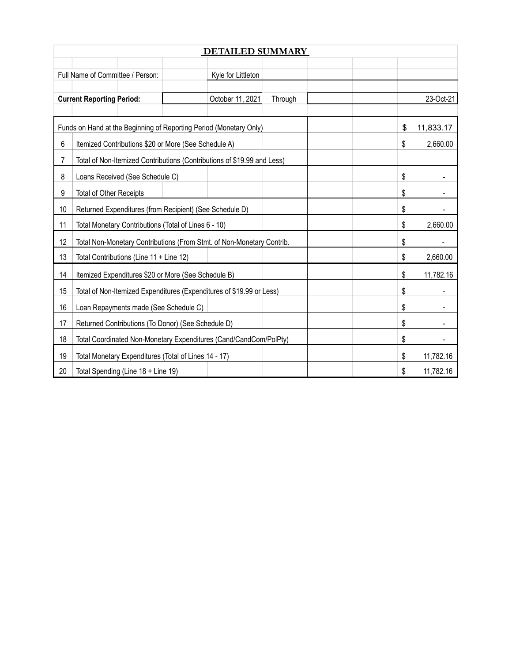|                | <b>DETAILED SUMMARY</b>                                                 |  |                    |         |           |           |  |  |
|----------------|-------------------------------------------------------------------------|--|--------------------|---------|-----------|-----------|--|--|
|                |                                                                         |  |                    |         |           |           |  |  |
|                | Full Name of Committee / Person:                                        |  | Kyle for Littleton |         |           |           |  |  |
|                | <b>Current Reporting Period:</b>                                        |  | October 11, 2021   | Through |           | 23-Oct-21 |  |  |
|                |                                                                         |  |                    |         |           |           |  |  |
|                | Funds on Hand at the Beginning of Reporting Period (Monetary Only)      |  |                    | \$      | 11,833.17 |           |  |  |
| 6              | Itemized Contributions \$20 or More (See Schedule A)                    |  |                    |         | \$        | 2,660.00  |  |  |
| $\overline{7}$ | Total of Non-Itemized Contributions (Contributions of \$19.99 and Less) |  |                    |         |           |           |  |  |
| 8              | Loans Received (See Schedule C)                                         |  |                    |         | \$        |           |  |  |
| 9              | <b>Total of Other Receipts</b>                                          |  |                    |         | \$        |           |  |  |
| 10             | Returned Expenditures (from Recipient) (See Schedule D)                 |  |                    |         | \$        |           |  |  |
| 11             | Total Monetary Contributions (Total of Lines 6 - 10)                    |  |                    |         | \$        | 2,660.00  |  |  |
| 12             | Total Non-Monetary Contributions (From Stmt. of Non-Monetary Contrib.   |  |                    |         | \$        |           |  |  |
| 13             | Total Contributions (Line 11 + Line 12)                                 |  |                    |         | \$        | 2,660.00  |  |  |
| 14             | Itemized Expenditures \$20 or More (See Schedule B)                     |  |                    |         | \$        | 11,782.16 |  |  |
| 15             | Total of Non-Itemized Expenditures (Expenditures of \$19.99 or Less)    |  |                    |         | \$        |           |  |  |
| 16             | Loan Repayments made (See Schedule C)                                   |  |                    |         | \$        |           |  |  |
| 17             | Returned Contributions (To Donor) (See Schedule D)                      |  |                    |         | \$        |           |  |  |
| 18             | Total Coordinated Non-Monetary Expenditures (Cand/CandCom/PolPty)       |  |                    |         | \$        |           |  |  |
| 19             | Total Monetary Expenditures (Total of Lines 14 - 17)                    |  |                    |         | \$        | 11,782.16 |  |  |
| 20             | Total Spending (Line 18 + Line 19)                                      |  |                    |         | \$        | 11,782.16 |  |  |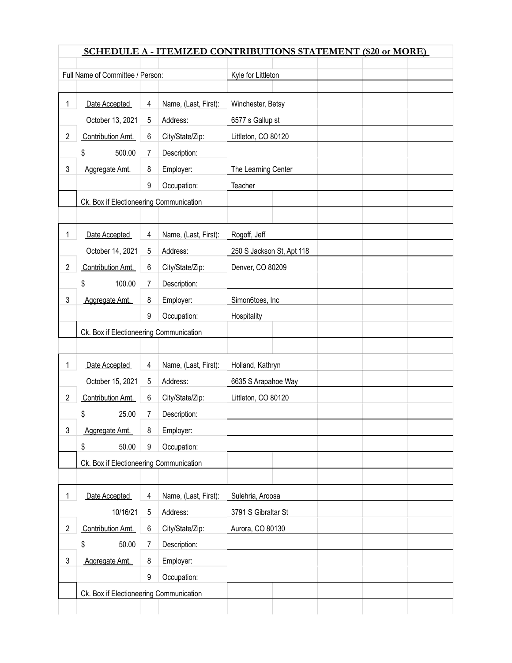| SCHEDULE A - ITEMIZED CONTRIBUTIONS STATEMENT (\$20 or MORE) |                                                                                                                                                                                                                                                |                                                                                      |                                                                                                                                                                                                                                                                                                                                                                                                                                                                           |  |  |  |  |  |
|--------------------------------------------------------------|------------------------------------------------------------------------------------------------------------------------------------------------------------------------------------------------------------------------------------------------|--------------------------------------------------------------------------------------|---------------------------------------------------------------------------------------------------------------------------------------------------------------------------------------------------------------------------------------------------------------------------------------------------------------------------------------------------------------------------------------------------------------------------------------------------------------------------|--|--|--|--|--|
|                                                              |                                                                                                                                                                                                                                                |                                                                                      | Kyle for Littleton                                                                                                                                                                                                                                                                                                                                                                                                                                                        |  |  |  |  |  |
|                                                              |                                                                                                                                                                                                                                                |                                                                                      |                                                                                                                                                                                                                                                                                                                                                                                                                                                                           |  |  |  |  |  |
|                                                              |                                                                                                                                                                                                                                                |                                                                                      | Winchester, Betsy                                                                                                                                                                                                                                                                                                                                                                                                                                                         |  |  |  |  |  |
|                                                              |                                                                                                                                                                                                                                                |                                                                                      | 6577 s Gallup st                                                                                                                                                                                                                                                                                                                                                                                                                                                          |  |  |  |  |  |
|                                                              |                                                                                                                                                                                                                                                |                                                                                      | Littleton, CO 80120                                                                                                                                                                                                                                                                                                                                                                                                                                                       |  |  |  |  |  |
|                                                              |                                                                                                                                                                                                                                                |                                                                                      |                                                                                                                                                                                                                                                                                                                                                                                                                                                                           |  |  |  |  |  |
|                                                              |                                                                                                                                                                                                                                                |                                                                                      | The Learning Center                                                                                                                                                                                                                                                                                                                                                                                                                                                       |  |  |  |  |  |
|                                                              |                                                                                                                                                                                                                                                |                                                                                      | Teacher                                                                                                                                                                                                                                                                                                                                                                                                                                                                   |  |  |  |  |  |
|                                                              |                                                                                                                                                                                                                                                |                                                                                      |                                                                                                                                                                                                                                                                                                                                                                                                                                                                           |  |  |  |  |  |
|                                                              |                                                                                                                                                                                                                                                |                                                                                      |                                                                                                                                                                                                                                                                                                                                                                                                                                                                           |  |  |  |  |  |
|                                                              |                                                                                                                                                                                                                                                |                                                                                      | Rogoff, Jeff                                                                                                                                                                                                                                                                                                                                                                                                                                                              |  |  |  |  |  |
|                                                              |                                                                                                                                                                                                                                                |                                                                                      | 250 S Jackson St, Apt 118                                                                                                                                                                                                                                                                                                                                                                                                                                                 |  |  |  |  |  |
|                                                              |                                                                                                                                                                                                                                                |                                                                                      |                                                                                                                                                                                                                                                                                                                                                                                                                                                                           |  |  |  |  |  |
|                                                              |                                                                                                                                                                                                                                                |                                                                                      | Denver, CO 80209                                                                                                                                                                                                                                                                                                                                                                                                                                                          |  |  |  |  |  |
|                                                              |                                                                                                                                                                                                                                                |                                                                                      |                                                                                                                                                                                                                                                                                                                                                                                                                                                                           |  |  |  |  |  |
|                                                              |                                                                                                                                                                                                                                                |                                                                                      | Simon6toes, Inc                                                                                                                                                                                                                                                                                                                                                                                                                                                           |  |  |  |  |  |
|                                                              |                                                                                                                                                                                                                                                |                                                                                      | Hospitality                                                                                                                                                                                                                                                                                                                                                                                                                                                               |  |  |  |  |  |
|                                                              |                                                                                                                                                                                                                                                |                                                                                      |                                                                                                                                                                                                                                                                                                                                                                                                                                                                           |  |  |  |  |  |
|                                                              |                                                                                                                                                                                                                                                |                                                                                      |                                                                                                                                                                                                                                                                                                                                                                                                                                                                           |  |  |  |  |  |
|                                                              |                                                                                                                                                                                                                                                |                                                                                      | Holland, Kathryn                                                                                                                                                                                                                                                                                                                                                                                                                                                          |  |  |  |  |  |
|                                                              |                                                                                                                                                                                                                                                |                                                                                      | 6635 S Arapahoe Way                                                                                                                                                                                                                                                                                                                                                                                                                                                       |  |  |  |  |  |
|                                                              |                                                                                                                                                                                                                                                |                                                                                      | Littleton, CO 80120                                                                                                                                                                                                                                                                                                                                                                                                                                                       |  |  |  |  |  |
| \$<br>25.00                                                  | 7                                                                                                                                                                                                                                              | Description:                                                                         |                                                                                                                                                                                                                                                                                                                                                                                                                                                                           |  |  |  |  |  |
| Aggregate Amt.                                               | 8                                                                                                                                                                                                                                              | Employer:                                                                            |                                                                                                                                                                                                                                                                                                                                                                                                                                                                           |  |  |  |  |  |
| \$<br>50.00                                                  | 9                                                                                                                                                                                                                                              | Occupation:                                                                          |                                                                                                                                                                                                                                                                                                                                                                                                                                                                           |  |  |  |  |  |
|                                                              |                                                                                                                                                                                                                                                |                                                                                      |                                                                                                                                                                                                                                                                                                                                                                                                                                                                           |  |  |  |  |  |
|                                                              |                                                                                                                                                                                                                                                |                                                                                      |                                                                                                                                                                                                                                                                                                                                                                                                                                                                           |  |  |  |  |  |
| Date Accepted                                                | 4                                                                                                                                                                                                                                              | Name, (Last, First):                                                                 | Sulehria, Aroosa                                                                                                                                                                                                                                                                                                                                                                                                                                                          |  |  |  |  |  |
| 10/16/21                                                     | 5                                                                                                                                                                                                                                              | Address:                                                                             | 3791 S Gibraltar St                                                                                                                                                                                                                                                                                                                                                                                                                                                       |  |  |  |  |  |
| Contribution Amt.                                            | 6                                                                                                                                                                                                                                              | City/State/Zip:                                                                      | Aurora, CO 80130                                                                                                                                                                                                                                                                                                                                                                                                                                                          |  |  |  |  |  |
| \$<br>50.00                                                  | 7                                                                                                                                                                                                                                              | Description:                                                                         |                                                                                                                                                                                                                                                                                                                                                                                                                                                                           |  |  |  |  |  |
| Aggregate Amt.                                               | 8                                                                                                                                                                                                                                              | Employer:                                                                            |                                                                                                                                                                                                                                                                                                                                                                                                                                                                           |  |  |  |  |  |
|                                                              | 9                                                                                                                                                                                                                                              | Occupation:                                                                          |                                                                                                                                                                                                                                                                                                                                                                                                                                                                           |  |  |  |  |  |
|                                                              |                                                                                                                                                                                                                                                |                                                                                      |                                                                                                                                                                                                                                                                                                                                                                                                                                                                           |  |  |  |  |  |
|                                                              |                                                                                                                                                                                                                                                |                                                                                      |                                                                                                                                                                                                                                                                                                                                                                                                                                                                           |  |  |  |  |  |
|                                                              | Date Accepted<br>October 13, 2021<br>Contribution Amt.<br>500.00<br>\$<br>Aggregate Amt.<br>Date Accepted<br>October 14, 2021<br>Contribution Amt.<br>100.00<br>\$<br>Aggregate Amt.<br>Date Accepted<br>October 15, 2021<br>Contribution Amt. | 4<br>5<br>6<br>7<br>8<br>9<br>4<br>5<br>6<br>$\overline{7}$<br>8<br>9<br>4<br>5<br>6 | Full Name of Committee / Person:<br>Name, (Last, First):<br>Address:<br>City/State/Zip:<br>Description:<br>Employer:<br>Occupation:<br>Ck. Box if Electioneering Communication<br>Name, (Last, First):<br>Address:<br>City/State/Zip:<br>Description:<br>Employer:<br>Occupation:<br>Ck. Box if Electioneering Communication<br>Name, (Last, First):<br>Address:<br>City/State/Zip:<br>Ck. Box if Electioneering Communication<br>Ck. Box if Electioneering Communication |  |  |  |  |  |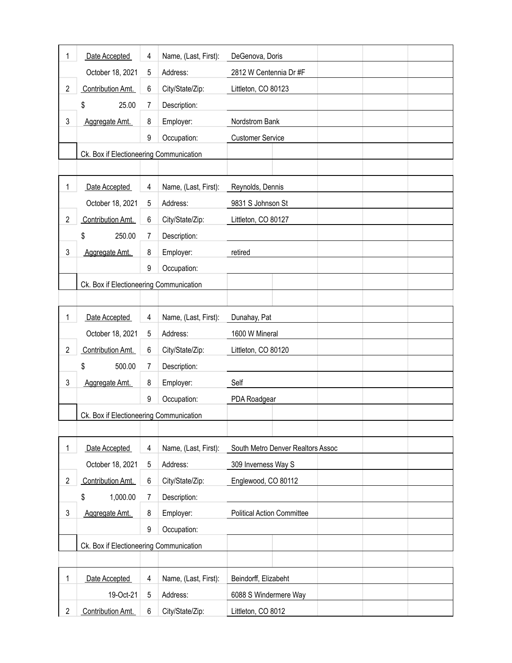| 1              | Date Accepted                           | 4 | Name, (Last, First): | DeGenova, Doris                   |  |  |  |
|----------------|-----------------------------------------|---|----------------------|-----------------------------------|--|--|--|
|                | October 18, 2021                        | 5 | Address:             | 2812 W Centennia Dr #F            |  |  |  |
| $\overline{2}$ | Contribution Amt.                       | 6 | City/State/Zip:      | Littleton, CO 80123               |  |  |  |
|                | 25.00<br>\$                             | 7 | Description:         |                                   |  |  |  |
| 3              | Aggregate Amt.                          | 8 | Employer:            | Nordstrom Bank                    |  |  |  |
|                |                                         | 9 | Occupation:          | <b>Customer Service</b>           |  |  |  |
|                | Ck. Box if Electioneering Communication |   |                      |                                   |  |  |  |
|                |                                         |   |                      |                                   |  |  |  |
| 1              | Date Accepted                           | 4 | Name, (Last, First): | Reynolds, Dennis                  |  |  |  |
|                | October 18, 2021                        | 5 | Address:             | 9831 S Johnson St                 |  |  |  |
| $\overline{2}$ | Contribution Amt.                       | 6 | City/State/Zip:      | Littleton, CO 80127               |  |  |  |
|                | 250.00<br>\$                            | 7 | Description:         |                                   |  |  |  |
| 3              | Aggregate Amt.                          | 8 | Employer:            | retired                           |  |  |  |
|                |                                         | 9 | Occupation:          |                                   |  |  |  |
|                | Ck. Box if Electioneering Communication |   |                      |                                   |  |  |  |
|                |                                         |   |                      |                                   |  |  |  |
| 1              | Date Accepted                           | 4 | Name, (Last, First): | Dunahay, Pat                      |  |  |  |
|                | October 18, 2021                        | 5 | Address:             | 1600 W Mineral                    |  |  |  |
| $\overline{2}$ | Contribution Amt.                       | 6 | City/State/Zip:      | Littleton, CO 80120               |  |  |  |
|                | \$<br>500.00                            | 7 | Description:         |                                   |  |  |  |
| 3              | Aggregate Amt.                          | 8 | Employer:            | Self                              |  |  |  |
|                |                                         | 9 | Occupation:          | PDA Roadgear                      |  |  |  |
|                | Ck. Box if Electioneering Communication |   |                      |                                   |  |  |  |
|                |                                         |   |                      |                                   |  |  |  |
| 1              | Date Accepted                           | 4 | Name, (Last, First): | South Metro Denver Realtors Assoc |  |  |  |
|                | October 18, 2021                        | 5 | Address:             | 309 Inverness Way S               |  |  |  |
| $\overline{2}$ | Contribution Amt.                       | 6 | City/State/Zip:      | Englewood, CO 80112               |  |  |  |
|                | \$<br>1,000.00                          | 7 | Description:         |                                   |  |  |  |
| 3              | Aggregate Amt.                          | 8 | Employer:            | <b>Political Action Committee</b> |  |  |  |
|                |                                         | 9 | Occupation:          |                                   |  |  |  |
|                | Ck. Box if Electioneering Communication |   |                      |                                   |  |  |  |
|                |                                         |   |                      |                                   |  |  |  |
| 1              | Date Accepted                           | 4 | Name, (Last, First): | Beindorff, Elizabeht              |  |  |  |
|                | 19-Oct-21                               | 5 | Address:             | 6088 S Windermere Way             |  |  |  |
| $\overline{2}$ | Contribution Amt.                       | 6 | City/State/Zip:      | Littleton, CO 8012                |  |  |  |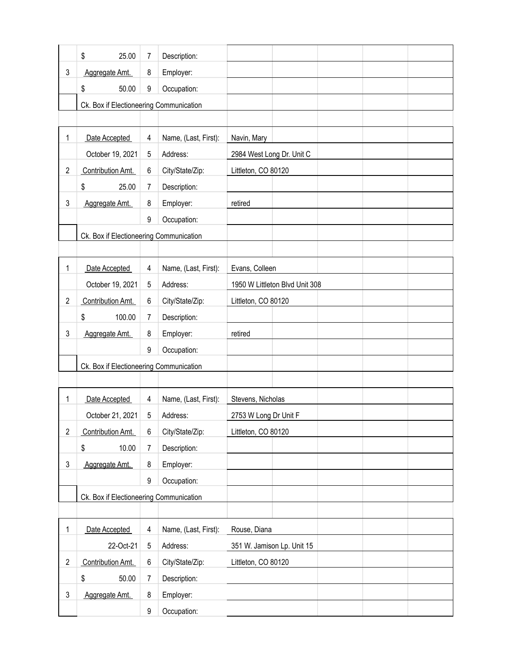|                | \$<br>25.00                             | 7 | Description:         |                                |  |  |
|----------------|-----------------------------------------|---|----------------------|--------------------------------|--|--|
| 3              | Aggregate Amt.                          | 8 | Employer:            |                                |  |  |
|                | \$<br>50.00                             | 9 | Occupation:          |                                |  |  |
|                | Ck. Box if Electioneering Communication |   |                      |                                |  |  |
|                |                                         |   |                      |                                |  |  |
| 1              | Date Accepted                           | 4 | Name, (Last, First): | Navin, Mary                    |  |  |
|                | October 19, 2021                        | 5 | Address:             | 2984 West Long Dr. Unit C      |  |  |
| $\overline{2}$ | Contribution Amt.                       | 6 | City/State/Zip:      | Littleton, CO 80120            |  |  |
|                | \$<br>25.00                             | 7 | Description:         |                                |  |  |
| 3              | Aggregate Amt.                          | 8 | Employer:            | retired                        |  |  |
|                |                                         | 9 | Occupation:          |                                |  |  |
|                | Ck. Box if Electioneering Communication |   |                      |                                |  |  |
|                |                                         |   |                      |                                |  |  |
| 1              | Date Accepted                           | 4 | Name, (Last, First): | Evans, Colleen                 |  |  |
|                | October 19, 2021                        | 5 | Address:             | 1950 W Littleton Blvd Unit 308 |  |  |
| $\overline{2}$ | Contribution Amt.                       | 6 | City/State/Zip:      | Littleton, CO 80120            |  |  |
|                | \$<br>100.00                            | 7 | Description:         |                                |  |  |
| 3              | Aggregate Amt.                          | 8 | Employer:            | retired                        |  |  |
|                |                                         | 9 | Occupation:          |                                |  |  |
|                | Ck. Box if Electioneering Communication |   |                      |                                |  |  |
|                |                                         |   |                      |                                |  |  |
| 1              | Date Accepted                           | 4 | Name, (Last, First): | Stevens, Nicholas              |  |  |
|                | October 21, 2021                        | 5 | Address:             | 2753 W Long Dr Unit F          |  |  |
| $\overline{2}$ | Contribution Amt.                       | 6 | City/State/Zip:      | Littleton, CO 80120            |  |  |
|                | \$<br>10.00                             | 7 | Description:         |                                |  |  |
| 3              | Aggregate Amt.                          | 8 | Employer:            |                                |  |  |
|                |                                         | 9 | Occupation:          |                                |  |  |
|                | Ck. Box if Electioneering Communication |   |                      |                                |  |  |
|                |                                         |   |                      |                                |  |  |
| 1              | Date Accepted                           | 4 | Name, (Last, First): | Rouse, Diana                   |  |  |
|                | 22-Oct-21                               | 5 | Address:             | 351 W. Jamison Lp. Unit 15     |  |  |
| $\overline{2}$ | Contribution Amt.                       | 6 | City/State/Zip:      | Littleton, CO 80120            |  |  |
|                | \$<br>50.00                             | 7 | Description:         |                                |  |  |
| 3              | Aggregate Amt.                          | 8 | Employer:            |                                |  |  |
|                |                                         | 9 | Occupation:          |                                |  |  |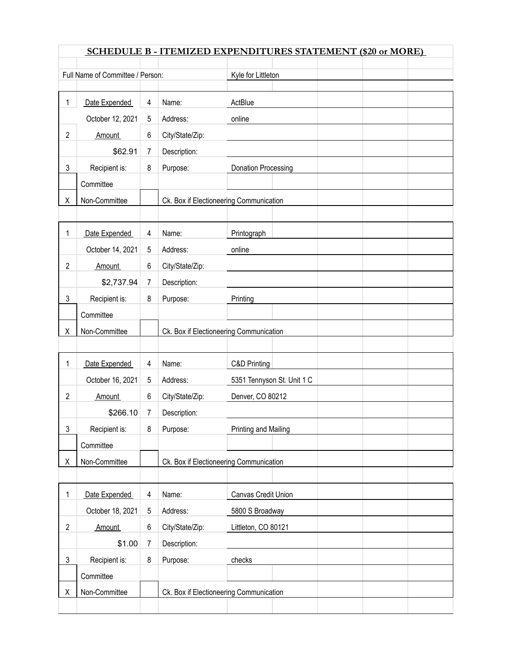|                | <b>SCHEDULE B - ITEMIZED EXPENDITURES STATEMENT (\$20 or MORE)</b> |   |                                         |                            |  |  |  |  |
|----------------|--------------------------------------------------------------------|---|-----------------------------------------|----------------------------|--|--|--|--|
|                | Full Name of Committee / Person:                                   |   |                                         | Kyle for Littleton         |  |  |  |  |
|                |                                                                    |   |                                         |                            |  |  |  |  |
| 1              | Date Expended                                                      | 4 | Name:                                   | ActBlue                    |  |  |  |  |
|                | October 12, 2021                                                   | 5 | Address:                                | online                     |  |  |  |  |
| 2              | Amount                                                             | 6 | City/State/Zip:                         |                            |  |  |  |  |
|                | \$62.91                                                            | 7 | Description:                            |                            |  |  |  |  |
| 3              | Recipient is:                                                      | 8 | Purpose:                                | <b>Donation Processing</b> |  |  |  |  |
|                | Committee                                                          |   |                                         |                            |  |  |  |  |
| Χ              | Non-Committee                                                      |   | Ck. Box if Electioneering Communication |                            |  |  |  |  |
|                |                                                                    |   |                                         |                            |  |  |  |  |
| 1              | Date Expended                                                      | 4 | Name:                                   | Printograph                |  |  |  |  |
|                | October 14, 2021                                                   | 5 | Address:                                | online                     |  |  |  |  |
| 2              | Amount                                                             | 6 | City/State/Zip:                         |                            |  |  |  |  |
|                | \$2,737.94                                                         | 7 | Description:                            |                            |  |  |  |  |
| 3              | Recipient is:                                                      | 8 | Purpose:                                | Printing                   |  |  |  |  |
|                | Committee                                                          |   |                                         |                            |  |  |  |  |
| Χ              | Non-Committee                                                      |   | Ck. Box if Electioneering Communication |                            |  |  |  |  |
|                |                                                                    |   |                                         |                            |  |  |  |  |
| 1              | Date Expended                                                      | 4 | Name:                                   | C&D Printing               |  |  |  |  |
|                | October 16, 2021                                                   | 5 | Address:                                | 5351 Tennyson St. Unit 1 C |  |  |  |  |
| 2              | Amount                                                             | 6 | City/State/Zip:                         | Denver, CO 80212           |  |  |  |  |
|                | \$266.10                                                           | 7 | Description:                            |                            |  |  |  |  |
| 3              | Recipient is:                                                      | 8 | Purpose:                                | Printing and Mailing       |  |  |  |  |
|                | Committee                                                          |   |                                         |                            |  |  |  |  |
| Χ              | Non-Committee                                                      |   | Ck. Box if Electioneering Communication |                            |  |  |  |  |
|                |                                                                    |   |                                         |                            |  |  |  |  |
| 1              | Date Expended                                                      | 4 | Name:                                   | Canvas Credit Union        |  |  |  |  |
|                | October 18, 2021                                                   | 5 | Address:                                | 5800 S Broadway            |  |  |  |  |
| $\overline{c}$ | <b>Amount</b>                                                      | 6 | City/State/Zip:                         | Littleton, CO 80121        |  |  |  |  |
|                | \$1.00                                                             | 7 | Description:                            |                            |  |  |  |  |
| 3              | Recipient is:                                                      | 8 | Purpose:                                | checks                     |  |  |  |  |
|                | Committee                                                          |   |                                         |                            |  |  |  |  |
| Χ              | Non-Committee                                                      |   | Ck. Box if Electioneering Communication |                            |  |  |  |  |
|                |                                                                    |   |                                         |                            |  |  |  |  |